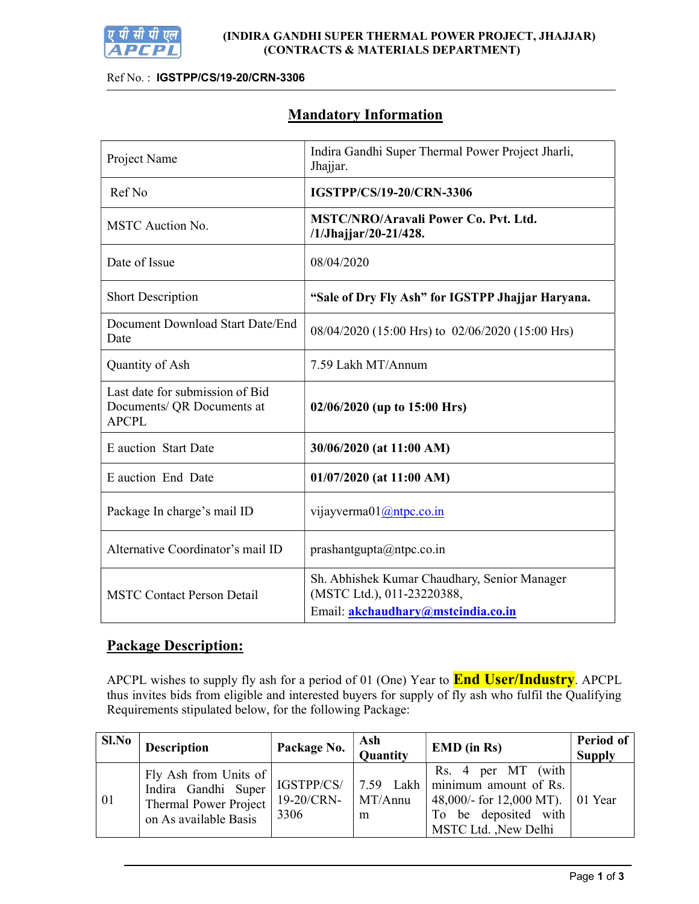

## Ref No. : IGSTPP/CS/19-20/CRN-3306

# Mandatory Information

| Project Name                                                                  | Indira Gandhi Super Thermal Power Project Jharli,<br>Jhajjar.              |  |  |  |
|-------------------------------------------------------------------------------|----------------------------------------------------------------------------|--|--|--|
| Ref No                                                                        | IGSTPP/CS/19-20/CRN-3306                                                   |  |  |  |
| MSTC Auction No.                                                              | <b>MSTC/NRO/Aravali Power Co. Pvt. Ltd.</b><br>/1/Jhajjar/20-21/428.       |  |  |  |
| Date of Issue                                                                 | 08/04/2020                                                                 |  |  |  |
| <b>Short Description</b>                                                      | "Sale of Dry Fly Ash" for IGSTPP Jhajjar Haryana.                          |  |  |  |
| Document Download Start Date/End<br>Date                                      | 08/04/2020 (15:00 Hrs) to 02/06/2020 (15:00 Hrs)                           |  |  |  |
| Quantity of Ash                                                               | 7.59 Lakh MT/Annum                                                         |  |  |  |
| Last date for submission of Bid<br>Documents/ QR Documents at<br><b>APCPL</b> | $02/06/2020$ (up to 15:00 Hrs)                                             |  |  |  |
| E auction Start Date                                                          | 30/06/2020 (at 11:00 AM)                                                   |  |  |  |
| E auction End Date                                                            | $01/07/2020$ (at 11:00 AM)                                                 |  |  |  |
| Package In charge's mail ID                                                   | vijayverma $01$ ( $@$ ntpc.co.in                                           |  |  |  |
| Alternative Coordinator's mail ID                                             | prashantgupta@ntpc.co.in                                                   |  |  |  |
| <b>MSTC Contact Person Detail</b>                                             | Sh. Abhishek Kumar Chaudhary, Senior Manager<br>(MSTC Ltd.), 011-23220388, |  |  |  |
|                                                                               | Email: akchaudhary@mstcindia.co.in                                         |  |  |  |

# Package Description:

APCPL wishes to supply fly ash for a period of 01 (One) Year to **End User/Industry**. APCPL thus invites bids from eligible and interested buyers for supply of fly ash who fulfil the Qualifying Requirements stipulated below, for the following Package:

| Sl.No | <b>Description</b>                                                                                    | Package No.                      | Ash<br>Quantity           | <b>EMD</b> (in Rs)                                                                                                                  | Period of<br><b>Supply</b> |
|-------|-------------------------------------------------------------------------------------------------------|----------------------------------|---------------------------|-------------------------------------------------------------------------------------------------------------------------------------|----------------------------|
| 01    | Fly Ash from Units of<br>Indira Gandhi Super<br><b>Thermal Power Project</b><br>on As available Basis | IGSTPP/CS/<br>19-20/CRN-<br>3306 | 7.59 Lakh<br>MT/Annu<br>m | (with<br>Rs. 4 per MT<br>minimum amount of Rs.<br>48,000/- for 12,000 MT). 01 Year<br>To be deposited with<br>MSTC Ltd. , New Delhi |                            |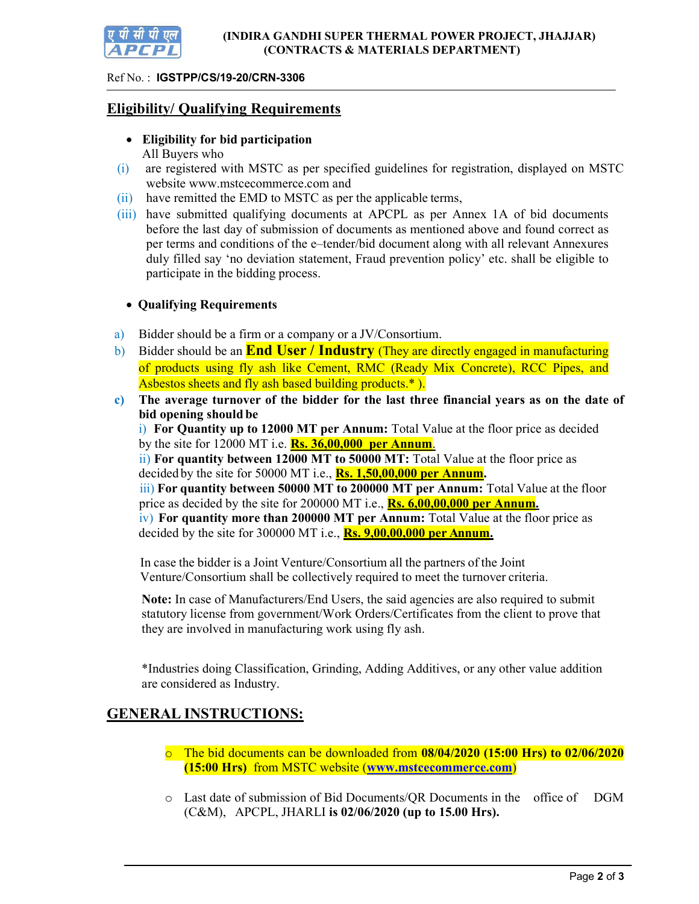

### Ref No. : IGSTPP/CS/19-20/CRN-3306

## Eligibility/ Qualifying Requirements

- Eligibility for bid participation All Buyers who
- (i) are registered with MSTC as per specified guidelines for registration, displayed on MSTC website www.mstcecommerce.com and
- (ii) have remitted the EMD to MSTC as per the applicable terms,
- (iii) have submitted qualifying documents at APCPL as per Annex 1A of bid documents before the last day of submission of documents as mentioned above and found correct as per terms and conditions of the e–tender/bid document along with all relevant Annexures duly filled say 'no deviation statement, Fraud prevention policy' etc. shall be eligible to participate in the bidding process.

## Qualifying Requirements

- a) Bidder should be a firm or a company or a JV/Consortium.
- b) Bidder should be an **End User / Industry** (They are directly engaged in manufacturing of products using fly ash like Cement, RMC (Ready Mix Concrete), RCC Pipes, and Asbestos sheets and fly ash based building products.\*).
- c) The average turnover of the bidder for the last three financial years as on the date of bid opening should be

i) For Quantity up to 12000 MT per Annum: Total Value at the floor price as decided by the site for 12000 MT i.e.  $\mathbf{Rs.}$  36,00,000 per Annum.

ii) For quantity between 12000 MT to 50000 MT: Total Value at the floor price as decided by the site for 50000 MT i.e.,  $\mathbf{Rs.}$  1,50,00,000 per Annum.

iii) For quantity between 50000 MT to 200000 MT per Annum: Total Value at the floor price as decided by the site for  $200000$  MT i.e., **Rs. 6,00,00,000 per Annum.** 

iv) For quantity more than 200000 MT per Annum: Total Value at the floor price as decided by the site for 300000 MT i.e.,  $\mathbf{Rs.}$  9,00,00,000 per Annum.

In case the bidder is a Joint Venture/Consortium all the partners of the Joint Venture/Consortium shall be collectively required to meet the turnover criteria.

Note: In case of Manufacturers/End Users, the said agencies are also required to submit statutory license from government/Work Orders/Certificates from the client to prove that they are involved in manufacturing work using fly ash.

\*Industries doing Classification, Grinding, Adding Additives, or any other value addition are considered as Industry.

# GENERAL INSTRUCTIONS:

- $\circ$  The bid documents can be downloaded from 08/04/2020 (15:00 Hrs) to 02/06/2020 (15:00 Hrs) from MSTC website (www.mstcecommerce.com)
- o Last date of submission of Bid Documents/QR Documents in the office of DGM (C&M), APCPL, JHARLI is 02/06/2020 (up to 15.00 Hrs).